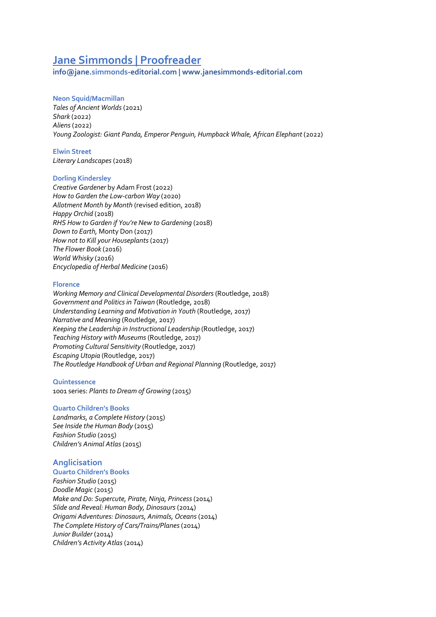# **Jane Simmonds | Proofreader**

**info@jane.simmonds-editorial.com | www.janesimmonds-editorial.com**

## **Neon Squid/Macmillan**

*Tales of Ancient Worlds* (2021) *Shark* (2022) *Aliens*(2022) *Young Zoologist: Giant Panda, Emperor Penguin, Humpback Whale, African Elephant* (2022)

#### **Elwin Street** *Literary Landscapes*(2018)

### **Dorling Kindersley**

*Creative Gardener* by Adam Frost (2022) *How to Garden the Low-carbon Way* (2020) *Allotment Month by Month* (revised edition, 2018) *Happy Orchid* (2018) *RHS How to Garden if You're New to Gardening* (2018) *Down to Earth,* Monty Don (2017) *How not to Kill your Houseplants*(2017) *The Flower Book* (2016) *World Whisky* (2016) *Encyclopedia of Herbal Medicine* (2016)

### **Florence**

*Working Memory and Clinical Developmental Disorders* (Routledge, 2018) *Government and Politics in Taiwan* (Routledge, 2018) *Understanding Learning and Motivation in Youth* (Routledge, 2017) *Narrative and Meaning* (Routledge, 2017) *Keeping the Leadership in Instructional Leadership* (Routledge, 2017) *Teaching History with Museums*(Routledge, 2017) *Promoting Cultural Sensitivity* (Routledge, 2017) *Escaping Utopia* (Routledge, 2017) *The Routledge Handbook of Urban and Regional Planning* (Routledge, 2017)

### **Quintessence**

1001 series: *Plants to Dream of Growing* (2015)

### **Quarto Children's Books**

*Landmarks, a Complete History* (2015) *See Inside the Human Body* (2015) *Fashion Studio* (2015) *Children's Animal Atlas*(2015)

# **Anglicisation**

#### **Quarto Children's Books**

*Fashion Studio* (2015) *Doodle Magic* (2015) *Make and Do: Supercute, Pirate, Ninja, Princess* (2014) *Slide and Reveal: Human Body, Dinosaurs* (2014) *Origami Adventures: Dinosaurs, Animals, Oceans*(2014) *The Complete History of Cars/Trains/Planes* (2014) *Junior Builder* (2014) *Children's Activity Atlas*(2014)